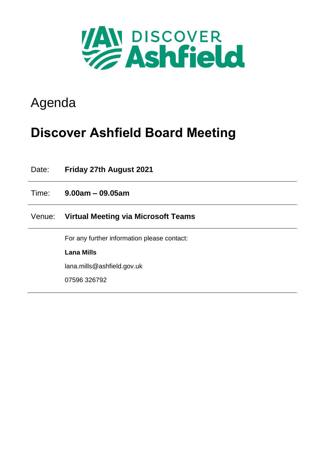

# Agenda

# **Discover Ashfield Board Meeting**

| Date:  | <b>Friday 27th August 2021</b>              |
|--------|---------------------------------------------|
| Time:  | $9.00am - 09.05am$                          |
| Venue: | Virtual Meeting via Microsoft Teams         |
|        | For any further information please contact: |
|        | <b>Lana Mills</b>                           |
|        | lana.mills@ashfield.gov.uk                  |
|        | 07596 326792                                |
|        |                                             |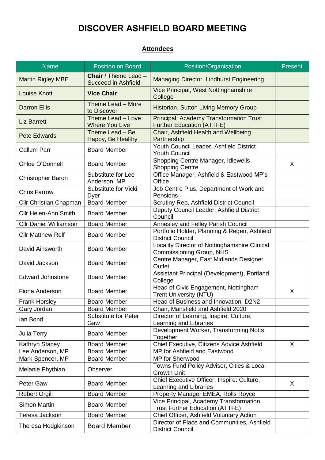## **DISCOVER ASHFIELD BOARD MEETING**

#### **Attendees**

| <b>Name</b>                   | <b>Position on Board</b>                                  | Position/Organisation                                                            | <b>Present</b> |
|-------------------------------|-----------------------------------------------------------|----------------------------------------------------------------------------------|----------------|
| <b>Martin Rigley MBE</b>      | <b>Chair</b> / Theme Lead -<br><b>Succeed in Ashfield</b> | Managing Director, Lindhurst Engineering                                         |                |
| <b>Louise Knott</b>           | <b>Vice Chair</b>                                         | Vice Principal, West Nottinghamshire<br>College                                  |                |
| <b>Darron Ellis</b>           | Theme Lead - More<br>to Discover                          | Historian, Sutton Living Memory Group                                            |                |
| <b>Liz Barrett</b>            | Theme Lead - Love<br><b>Where You Live</b>                | Principal, Academy Transformation Trust<br><b>Further Education (ATTFE)</b>      |                |
| <b>Pete Edwards</b>           | Theme Lead - Be<br>Happy, Be Healthy                      | Chair, Ashfield Health and Wellbeing<br>Partnership                              |                |
| <b>Callum Parr</b>            | <b>Board Member</b>                                       | Youth Council Leader, Ashfield District<br><b>Youth Council</b>                  |                |
| Chloe O'Donnell               | <b>Board Member</b>                                       | Shopping Centre Manager, Idlewells<br><b>Shopping Centre</b>                     | X              |
| <b>Christopher Baron</b>      | Substitute for Lee<br>Anderson, MP                        | Office Manager, Ashfield & Eastwood MP's<br>Office                               |                |
| <b>Chris Farrow</b>           | Substitute for Vicki<br>Dyer                              | Job Centre Plus, Department of Work and<br>Pensions                              |                |
| Cllr Christian Chapman        | <b>Board Member</b>                                       | Scrutiny Rep, Ashfield District Council                                          |                |
| <b>Cllr Helen-Ann Smith</b>   | <b>Board Member</b>                                       | Deputy Council Leader, Ashfield District<br>Council                              |                |
| <b>Cllr Daniel Williamson</b> | <b>Board Member</b>                                       | Annesley and Felley Parish Council                                               |                |
| <b>Cllr Matthew Relf</b>      | <b>Board Member</b>                                       | Portfolio Holder, Planning & Regen, Ashfield<br><b>District Council</b>          |                |
| David Ainsworth               | <b>Board Member</b>                                       | Locality Director of Nottinghamshire Clinical<br>Commissioning Group, NHS        |                |
| David Jackson                 | <b>Board Member</b>                                       | Centre Manager, East Midlands Designer<br>Outlet                                 |                |
| <b>Edward Johnstone</b>       | <b>Board Member</b>                                       | Assistant Principal (Development), Portland<br>College                           |                |
| Fiona Anderson                | <b>Board Member</b>                                       | Head of Civic Engagement, Nottingham<br><b>Trent University (NTU)</b>            | X              |
| <b>Frank Horsley</b>          | <b>Board Member</b>                                       | Head of Business and Innovation, D2N2                                            |                |
| Gary Jordan                   | <b>Board Member</b>                                       | Chair, Mansfield and Ashfield 2020                                               |                |
| lan Bond                      | <b>Substitute for Peter</b><br>Gaw                        | Director of Learning, Inspire: Culture,<br>Learning and Libraries                |                |
| Julia Terry                   | <b>Board Member</b>                                       | Development Worker, Transforming Notts<br>Together                               |                |
| Kathryn Stacey                | <b>Board Member</b>                                       | Chief Executive, Citizens Advice Ashfield                                        | X              |
| Lee Anderson, MP              | <b>Board Member</b>                                       | MP for Ashfield and Eastwood                                                     |                |
| Mark Spencer, MP              | <b>Board Member</b>                                       | MP for Sherwood                                                                  |                |
| Melanie Phythian              | Observer                                                  | Towns Fund Policy Advisor, Cities & Local<br><b>Growth Unit</b>                  |                |
| Peter Gaw                     | <b>Board Member</b>                                       | Chief Executive Officer, Inspire: Culture,<br>Learning and Libraries             | X              |
| <b>Robert Orgill</b>          | <b>Board Member</b>                                       | Property Manager EMEA, Rolls Royce                                               |                |
| <b>Simon Martin</b>           | <b>Board Member</b>                                       | Vice Principal, Academy Transformation<br><b>Trust Further Education (ATTFE)</b> |                |
| Teresa Jackson                | <b>Board Member</b>                                       | Chief Officer, Ashfield Voluntary Action                                         |                |
| Theresa Hodgkinson            | <b>Board Member</b>                                       | Director of Place and Communities, Ashfield<br><b>District Council</b>           |                |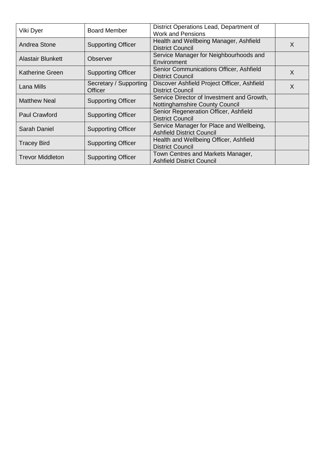| Viki Dyer                | <b>Board Member</b>                      | District Operations Lead, Department of<br><b>Work and Pensions</b>          |   |
|--------------------------|------------------------------------------|------------------------------------------------------------------------------|---|
| Andrea Stone             | <b>Supporting Officer</b>                | Health and Wellbeing Manager, Ashfield<br><b>District Council</b>            | X |
| <b>Alastair Blunkett</b> | Observer                                 | Service Manager for Neighbourhoods and<br>Environment                        |   |
| <b>Katherine Green</b>   | <b>Supporting Officer</b>                | Senior Communications Officer, Ashfield<br>District Council                  | X |
| Lana Mills               | Secretary / Supporting<br><b>Officer</b> | Discover Ashfield Project Officer, Ashfield<br><b>District Council</b>       | X |
| <b>Matthew Neal</b>      | <b>Supporting Officer</b>                | Service Director of Investment and Growth,<br>Nottinghamshire County Council |   |
| Paul Crawford            | <b>Supporting Officer</b>                | Senior Regeneration Officer, Ashfield<br><b>District Council</b>             |   |
| Sarah Daniel             | <b>Supporting Officer</b>                | Service Manager for Place and Wellbeing,<br><b>Ashfield District Council</b> |   |
| <b>Tracey Bird</b>       | <b>Supporting Officer</b>                | Health and Wellbeing Officer, Ashfield<br><b>District Council</b>            |   |
| <b>Trevor Middleton</b>  | <b>Supporting Officer</b>                | Town Centres and Markets Manager,<br><b>Ashfield District Council</b>        |   |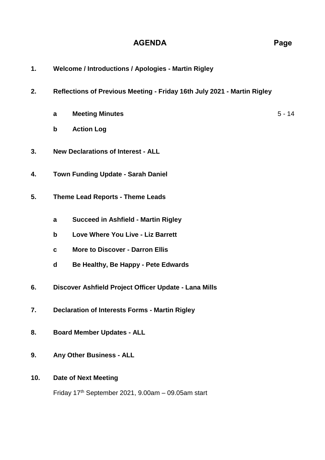#### **AGENDA Page**

- **1. Welcome / Introductions / Apologies - Martin Rigley**
- **2. Reflections of Previous Meeting - Friday 16th July 2021 - Martin Rigley**
	- **a Meeting Minutes** 5 14
	- **b Action Log**
- **3. New Declarations of Interest - ALL**
- **4. Town Funding Update - Sarah Daniel**
- **5. Theme Lead Reports - Theme Leads**
	- **a Succeed in Ashfield - Martin Rigley**
	- **b Love Where You Live - Liz Barrett**
	- **c More to Discover - Darron Ellis**
	- **d Be Healthy, Be Happy - Pete Edwards**
- **6. Discover Ashfield Project Officer Update - Lana Mills**
- **7. Declaration of Interests Forms - Martin Rigley**
- **8. Board Member Updates - ALL**
- **9. Any Other Business - ALL**

#### **10. Date of Next Meeting**

Friday  $17<sup>th</sup>$  September 2021, 9.00am  $-$  09.05am start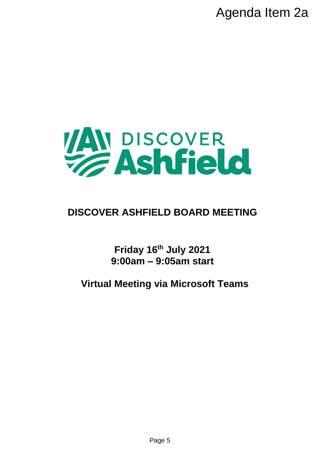

## **DISCOVER ASHFIELD BOARD MEETING**

**Friday 16th July 2021 9:00am – 9:05am start**

**Virtual Meeting via Microsoft Teams**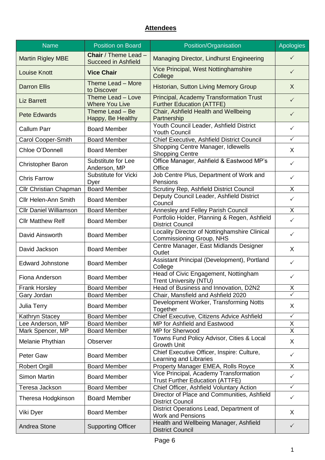### **Attendees**

| <b>Name</b>                   | <b>Position on Board</b>                           | Position/Organisation                                                            | <b>Apologies</b>                |
|-------------------------------|----------------------------------------------------|----------------------------------------------------------------------------------|---------------------------------|
| <b>Martin Rigley MBE</b>      | Chair / Theme Lead -<br><b>Succeed in Ashfield</b> | Managing Director, Lindhurst Engineering                                         | $\checkmark$                    |
| <b>Louise Knott</b>           | <b>Vice Chair</b>                                  | Vice Principal, West Nottinghamshire<br>College                                  | $\checkmark$                    |
| <b>Darron Ellis</b>           | Theme Lead - More<br>to Discover                   | <b>Historian, Sutton Living Memory Group</b>                                     | X                               |
| <b>Liz Barrett</b>            | Theme Lead - Love<br><b>Where You Live</b>         | Principal, Academy Transformation Trust<br><b>Further Education (ATTFE)</b>      | $\checkmark$                    |
| <b>Pete Edwards</b>           | Theme Lead - Be<br>Happy, Be Healthy               | Chair, Ashfield Health and Wellbeing<br>Partnership                              | $\checkmark$                    |
| <b>Callum Parr</b>            | <b>Board Member</b>                                | Youth Council Leader, Ashfield District<br><b>Youth Council</b>                  | $\checkmark$                    |
| Carol Cooper-Smith            | <b>Board Member</b>                                | Chief Executive, Ashfield District Council                                       | $\checkmark$                    |
| Chloe O'Donnell               | <b>Board Member</b>                                | Shopping Centre Manager, Idlewells<br><b>Shopping Centre</b>                     | X                               |
| <b>Christopher Baron</b>      | Substitute for Lee<br>Anderson, MP                 | Office Manager, Ashfield & Eastwood MP's<br>Office                               | $\checkmark$                    |
| <b>Chris Farrow</b>           | Substitute for Vicki<br>Dyer                       | Job Centre Plus, Department of Work and<br>Pensions                              | $\checkmark$                    |
| <b>Cllr Christian Chapman</b> | <b>Board Member</b>                                | Scrutiny Rep, Ashfield District Council                                          | X                               |
| <b>Cllr Helen-Ann Smith</b>   | <b>Board Member</b>                                | Deputy Council Leader, Ashfield District<br>Council                              | ✓                               |
| <b>Cllr Daniel Williamson</b> | <b>Board Member</b>                                | Annesley and Felley Parish Council                                               | X                               |
| <b>Cllr Matthew Relf</b>      | <b>Board Member</b>                                | Portfolio Holder, Planning & Regen, Ashfield<br><b>District Council</b>          | $\checkmark$                    |
| David Ainsworth               | <b>Board Member</b>                                | Locality Director of Nottinghamshire Clinical<br>Commissioning Group, NHS        | $\checkmark$                    |
| David Jackson                 | <b>Board Member</b>                                | Centre Manager, East Midlands Designer<br>Outlet                                 | X                               |
| <b>Edward Johnstone</b>       | <b>Board Member</b>                                | Assistant Principal (Development), Portland<br>College                           | $\checkmark$                    |
| Fiona Anderson                | <b>Board Member</b>                                | Head of Civic Engagement, Nottingham<br><b>Trent University (NTU)</b>            | $\checkmark$                    |
| <b>Frank Horsley</b>          | <b>Board Member</b>                                | Head of Business and Innovation, D2N2                                            | $\frac{\mathsf{X}}{\mathsf{Y}}$ |
| Gary Jordan                   | <b>Board Member</b>                                | Chair, Mansfield and Ashfield 2020                                               |                                 |
| Julia Terry                   | <b>Board Member</b>                                | Development Worker, Transforming Notts<br>Together                               | X                               |
| Kathryn Stacey                | <b>Board Member</b>                                | Chief Executive, Citizens Advice Ashfield                                        | $\checkmark$                    |
| Lee Anderson, MP              | <b>Board Member</b>                                | MP for Ashfield and Eastwood                                                     | X                               |
| Mark Spencer, MP              | <b>Board Member</b>                                | MP for Sherwood                                                                  | $\mathsf X$                     |
| Melanie Phythian              | Observer                                           | Towns Fund Policy Advisor, Cities & Local<br><b>Growth Unit</b>                  | X                               |
| Peter Gaw                     | <b>Board Member</b>                                | Chief Executive Officer, Inspire: Culture,<br>Learning and Libraries             | $\checkmark$                    |
| <b>Robert Orgill</b>          | <b>Board Member</b>                                | Property Manager EMEA, Rolls Royce                                               | $\overline{X}$                  |
| <b>Simon Martin</b>           | <b>Board Member</b>                                | Vice Principal, Academy Transformation<br><b>Trust Further Education (ATTFE)</b> | $\checkmark$                    |
| Teresa Jackson                | <b>Board Member</b>                                | Chief Officer, Ashfield Voluntary Action                                         | $\checkmark$                    |
| Theresa Hodgkinson            | <b>Board Member</b>                                | Director of Place and Communities, Ashfield<br><b>District Council</b>           | $\checkmark$                    |
| Viki Dyer                     | <b>Board Member</b>                                | District Operations Lead, Department of<br><b>Work and Pensions</b>              | X                               |
| Andrea Stone                  | <b>Supporting Officer</b>                          | Health and Wellbeing Manager, Ashfield<br><b>District Council</b>                | $\checkmark$                    |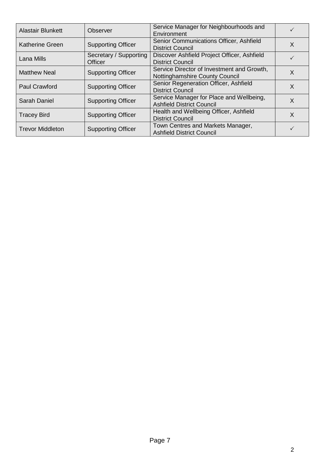| <b>Alastair Blunkett</b> | Observer                                 | Service Manager for Neighbourhoods and<br>Environment                        | ✓        |
|--------------------------|------------------------------------------|------------------------------------------------------------------------------|----------|
| <b>Katherine Green</b>   | <b>Supporting Officer</b>                | Senior Communications Officer, Ashfield<br><b>District Council</b>           | X        |
| Lana Mills               | Secretary / Supporting<br><b>Officer</b> | Discover Ashfield Project Officer, Ashfield<br><b>District Council</b>       |          |
| <b>Matthew Neal</b>      | <b>Supporting Officer</b>                | Service Director of Investment and Growth,<br>Nottinghamshire County Council | $\times$ |
| <b>Paul Crawford</b>     | <b>Supporting Officer</b>                | Senior Regeneration Officer, Ashfield<br><b>District Council</b>             | X        |
| Sarah Daniel             | <b>Supporting Officer</b>                | Service Manager for Place and Wellbeing,<br><b>Ashfield District Council</b> | X        |
| <b>Tracey Bird</b>       | <b>Supporting Officer</b>                | Health and Wellbeing Officer, Ashfield<br><b>District Council</b>            | X        |
| <b>Trevor Middleton</b>  | <b>Supporting Officer</b>                | Town Centres and Markets Manager,<br><b>Ashfield District Council</b>        |          |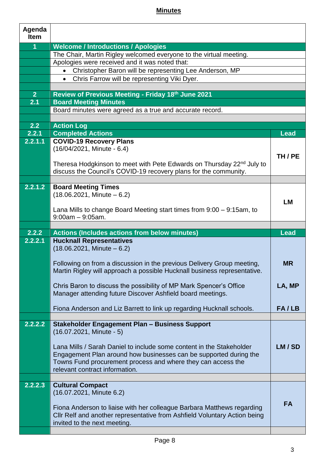### **Minutes**

| Agenda<br><b>Item</b> |                                                                                                           |             |
|-----------------------|-----------------------------------------------------------------------------------------------------------|-------------|
| $\overline{1}$        | <b>Welcome / Introductions / Apologies</b>                                                                |             |
|                       | The Chair, Martin Rigley welcomed everyone to the virtual meeting.                                        |             |
|                       | Apologies were received and it was noted that:                                                            |             |
|                       | Christopher Baron will be representing Lee Anderson, MP<br>$\bullet$                                      |             |
|                       | Chris Farrow will be representing Viki Dyer.<br>$\bullet$                                                 |             |
|                       |                                                                                                           |             |
| 2 <sup>2</sup>        | Review of Previous Meeting - Friday 18th June 2021                                                        |             |
| 2.1                   | <b>Board Meeting Minutes</b>                                                                              |             |
|                       | Board minutes were agreed as a true and accurate record.                                                  |             |
|                       |                                                                                                           |             |
| 2.2                   | <b>Action Log</b>                                                                                         |             |
| 2.2.1<br>2.2.1.1      | <b>Completed Actions</b><br><b>COVID-19 Recovery Plans</b>                                                | <b>Lead</b> |
|                       | (16/04/2021, Minute - 6.4)                                                                                |             |
|                       |                                                                                                           | TH / PE     |
|                       | Theresa Hodgkinson to meet with Pete Edwards on Thursday 22 <sup>nd</sup> July to                         |             |
|                       | discuss the Council's COVID-19 recovery plans for the community.                                          |             |
|                       |                                                                                                           |             |
| 2.2.1.2               | <b>Board Meeting Times</b>                                                                                |             |
|                       | $(18.06.2021,$ Minute $-6.2)$                                                                             |             |
|                       |                                                                                                           | <b>LM</b>   |
|                       | Lana Mills to change Board Meeting start times from 9:00 – 9:15am, to                                     |             |
|                       | $9:00am - 9:05am$ .                                                                                       |             |
|                       |                                                                                                           |             |
|                       |                                                                                                           |             |
| 2.2.2                 | <b>Actions (Includes actions from below minutes)</b>                                                      | <b>Lead</b> |
| 2.2.2.1               | <b>Hucknall Representatives</b>                                                                           |             |
|                       | $(18.06.2021,$ Minute $-6.2)$                                                                             |             |
|                       | Following on from a discussion in the previous Delivery Group meeting,                                    | <b>MR</b>   |
|                       | Martin Rigley will approach a possible Hucknall business representative.                                  |             |
|                       |                                                                                                           |             |
|                       | Chris Baron to discuss the possibility of MP Mark Spencer's Office                                        | LA, MP      |
|                       | Manager attending future Discover Ashfield board meetings.                                                |             |
|                       |                                                                                                           |             |
|                       | Fiona Anderson and Liz Barrett to link up regarding Hucknall schools.                                     | FA/LB       |
|                       |                                                                                                           |             |
| 2.2.2.2               | <b>Stakeholder Engagement Plan - Business Support</b>                                                     |             |
|                       | $(16.07.2021,$ Minute - 5)                                                                                |             |
|                       | Lana Mills / Sarah Daniel to include some content in the Stakeholder                                      | LM/SD       |
|                       | Engagement Plan around how businesses can be supported during the                                         |             |
|                       | Towns Fund procurement process and where they can access the                                              |             |
|                       | relevant contract information.                                                                            |             |
|                       |                                                                                                           |             |
| 2.2.2.3               | <b>Cultural Compact</b>                                                                                   |             |
|                       | (16.07.2021, Minute 6.2)                                                                                  |             |
|                       |                                                                                                           | <b>FA</b>   |
|                       | Fiona Anderson to liaise with her colleague Barbara Matthews regarding                                    |             |
|                       | CIIr Relf and another representative from Ashfield Voluntary Action being<br>invited to the next meeting. |             |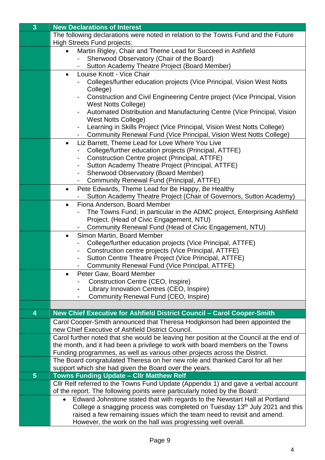| $\overline{3}$ | <b>New Declarations of Interest</b>                                                     |
|----------------|-----------------------------------------------------------------------------------------|
|                | The following declarations were noted in relation to the Towns Fund and the Future      |
|                | <b>High Streets Fund projects:</b>                                                      |
|                | Martin Rigley, Chair and Theme Lead for Succeed in Ashfield<br>$\bullet$                |
|                | Sherwood Observatory (Chair of the Board)                                               |
|                | Sutton Academy Theatre Project (Board Member)                                           |
|                | Louise Knott - Vice Chair<br>$\bullet$                                                  |
|                | Colleges/further education projects (Vice Principal, Vision West Notts                  |
|                | College)                                                                                |
|                | Construction and Civil Engineering Centre project (Vice Principal, Vision               |
|                | <b>West Notts College)</b>                                                              |
|                | Automated Distribution and Manufacturing Centre (Vice Principal, Vision                 |
|                | <b>West Notts College)</b>                                                              |
|                | Learning in Skills Project (Vice Principal, Vision West Notts College)<br>۰             |
|                | Community Renewal Fund (Vice Principal, Vision West Notts College)                      |
|                | Liz Barrett, Theme Lead for Love Where You Live<br>$\bullet$                            |
|                | College/further education projects (Principal, ATTFE)                                   |
|                | Construction Centre project (Principal, ATTFE)                                          |
|                | Sutton Academy Theatre Project (Principal, ATTFE)<br>$\qquad \qquad \blacksquare$       |
|                | Sherwood Observatory (Board Member)                                                     |
|                | Community Renewal Fund (Principal, ATTFE)                                               |
|                | Pete Edwards, Theme Lead for Be Happy, Be Healthy<br>$\bullet$                          |
|                | Sutton Academy Theatre Project (Chair of Governors, Sutton Academy)                     |
|                | Fiona Anderson, Board Member<br>$\bullet$                                               |
|                | The Towns Fund; in particular in the ADMC project, Enterprising Ashfield                |
|                | Project. (Head of Civic Engagement, NTU)                                                |
|                | Community Renewal Fund (Head of Civic Engagement, NTU)                                  |
|                | Simon Martin, Board Member<br>$\bullet$                                                 |
|                | College/further education projects (Vice Principal, ATTFE)                              |
|                | Construction centre projects (Vice Principal, ATTFE)<br>۰                               |
|                | Sutton Centre Theatre Project (Vice Principal, ATTFE)                                   |
|                | Community Renewal Fund (Vice Principal, ATTFE)<br>Peter Gaw, Board Member<br>$\bullet$  |
|                | <b>Construction Centre (CEO, Inspire)</b>                                               |
|                | Library Innovation Centres (CEO, Inspire)                                               |
|                | Community Renewal Fund (CEO, Inspire)                                                   |
|                |                                                                                         |
| 4              | New Chief Executive for Ashfield District Council - Carol Cooper-Smith                  |
|                | Carol Cooper-Smith announced that Theresa Hodgkinson had been appointed the             |
|                | new Chief Executive of Ashfield District Council.                                       |
|                | Carol further noted that she would be leaving her position at the Council at the end of |
|                | the month, and it had been a privilege to work with board members on the Towns          |
|                | Funding programmes, as well as various other projects across the District.              |
|                | The Board congratulated Theresa on her new role and thanked Carol for all her           |
|                | support which she had given the Board over the years.                                   |
| $5\phantom{1}$ | <b>Towns Funding Update - CIIr Matthew Relf</b>                                         |
|                | Cllr Relf referred to the Towns Fund Update (Appendix 1) and gave a verbal account      |
|                | of the report. The following points were particularly noted by the Board:               |
|                | Edward Johnstone stated that with regards to the Newstart Hall at Portland              |
|                | College a snagging process was completed on Tuesday 13 <sup>th</sup> July 2021 and this |
|                | raised a few remaining issues which the team need to revisit and amend.                 |
|                | However, the work on the hall was progressing well overall.                             |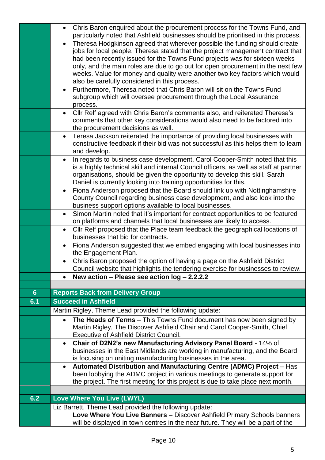|                | Chris Baron enquired about the procurement process for the Towns Fund, and<br>$\bullet$<br>particularly noted that Ashfield businesses should be prioritised in this process.                                                                            |
|----------------|----------------------------------------------------------------------------------------------------------------------------------------------------------------------------------------------------------------------------------------------------------|
|                | Theresa Hodgkinson agreed that wherever possible the funding should create<br>$\bullet$<br>jobs for local people. Theresa stated that the project management contract that<br>had been recently issued for the Towns Fund projects was for sixteen weeks |
|                | only, and the main roles are due to go out for open procurement in the next few<br>weeks. Value for money and quality were another two key factors which would                                                                                           |
|                | also be carefully considered in this process.                                                                                                                                                                                                            |
|                | Furthermore, Theresa noted that Chris Baron will sit on the Towns Fund<br>$\bullet$                                                                                                                                                                      |
|                | subgroup which will oversee procurement through the Local Assurance<br>process.                                                                                                                                                                          |
|                | Cllr Relf agreed with Chris Baron's comments also, and reiterated Theresa's<br>$\bullet$                                                                                                                                                                 |
|                | comments that other key considerations would also need to be factored into                                                                                                                                                                               |
|                | the procurement decisions as well.<br>Teresa Jackson reiterated the importance of providing local businesses with<br>$\bullet$                                                                                                                           |
|                | constructive feedback if their bid was not successful as this helps them to learn                                                                                                                                                                        |
|                | and develop.                                                                                                                                                                                                                                             |
|                | In regards to business case development, Carol Cooper-Smith noted that this<br>$\bullet$                                                                                                                                                                 |
|                | is a highly technical skill and internal Council officers, as well as staff at partner                                                                                                                                                                   |
|                | organisations, should be given the opportunity to develop this skill. Sarah                                                                                                                                                                              |
|                | Daniel is currently looking into training opportunities for this.<br>Fiona Anderson proposed that the Board should link up with Nottinghamshire                                                                                                          |
|                | $\bullet$<br>County Council regarding business case development, and also look into the                                                                                                                                                                  |
|                | business support options available to local businesses.                                                                                                                                                                                                  |
|                | Simon Martin noted that it's important for contract opportunities to be featured<br>$\bullet$                                                                                                                                                            |
|                | on platforms and channels that local businesses are likely to access.                                                                                                                                                                                    |
|                | Cllr Relf proposed that the Place team feedback the geographical locations of<br>businesses that bid for contracts.                                                                                                                                      |
|                | Fiona Anderson suggested that we embed engaging with local businesses into<br>$\bullet$<br>the Engagement Plan.                                                                                                                                          |
|                | Chris Baron proposed the option of having a page on the Ashfield District                                                                                                                                                                                |
|                | Council website that highlights the tendering exercise for businesses to review.                                                                                                                                                                         |
|                | New action - Please see action log - 2.2.2.2                                                                                                                                                                                                             |
| 6 <sup>°</sup> | <b>Reports Back from Delivery Group</b>                                                                                                                                                                                                                  |
| 6.1            | <b>Succeed in Ashfield</b>                                                                                                                                                                                                                               |
|                | Martin Rigley, Theme Lead provided the following update:                                                                                                                                                                                                 |
|                | The Heads of Terms - This Towns Fund document has now been signed by<br>$\bullet$                                                                                                                                                                        |
|                | Martin Rigley, The Discover Ashfield Chair and Carol Cooper-Smith, Chief                                                                                                                                                                                 |
|                | <b>Executive of Ashfield District Council.</b>                                                                                                                                                                                                           |
|                | Chair of D2N2's new Manufacturing Advisory Panel Board - 14% of<br>$\bullet$                                                                                                                                                                             |
|                | businesses in the East Midlands are working in manufacturing, and the Board                                                                                                                                                                              |
|                | is focusing on uniting manufacturing businesses in the area.<br>Automated Distribution and Manufacturing Centre (ADMC) Project - Has<br>$\bullet$                                                                                                        |
|                | been lobbying the ADMC project in various meetings to generate support for                                                                                                                                                                               |
|                | the project. The first meeting for this project is due to take place next month.                                                                                                                                                                         |
|                |                                                                                                                                                                                                                                                          |
| 6.2            | Love Where You Live (LWYL)                                                                                                                                                                                                                               |
|                | Liz Barrett, Theme Lead provided the following update:                                                                                                                                                                                                   |
|                | Love Where You Live Banners - Discover Ashfield Primary Schools banners                                                                                                                                                                                  |
|                | will be displayed in town centres in the near future. They will be a part of the                                                                                                                                                                         |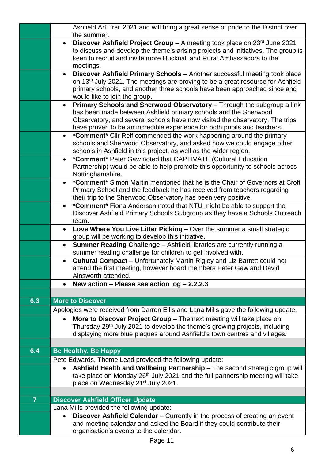|                | Ashfield Art Trail 2021 and will bring a great sense of pride to the District over<br>the summer.                                                                                                                                                                                                                  |
|----------------|--------------------------------------------------------------------------------------------------------------------------------------------------------------------------------------------------------------------------------------------------------------------------------------------------------------------|
|                | <b>Discover Ashfield Project Group</b> – A meeting took place on $23^{rd}$ June 2021<br>$\bullet$<br>to discuss and develop the theme's arising projects and initiatives. The group is<br>keen to recruit and invite more Hucknall and Rural Ambassadors to the<br>meetings.                                       |
|                | Discover Ashfield Primary Schools - Another successful meeting took place<br>$\bullet$<br>on 13 <sup>th</sup> July 2021. The meetings are proving to be a great resource for Ashfield<br>primary schools, and another three schools have been approached since and<br>would like to join the group.                |
|                | Primary Schools and Sherwood Observatory - Through the subgroup a link<br>$\bullet$<br>has been made between Ashfield primary schools and the Sherwood<br>Observatory, and several schools have now visited the observatory. The trips<br>have proven to be an incredible experience for both pupils and teachers. |
|                | *Comment* Cllr Relf commended the work happening around the primary<br>$\bullet$<br>schools and Sherwood Observatory, and asked how we could engage other<br>schools in Ashfield in this project, as well as the wider region.                                                                                     |
|                | *Comment* Peter Gaw noted that CAPTIVATE (Cultural Education<br>$\bullet$<br>Partnership) would be able to help promote this opportunity to schools across<br>Nottinghamshire.                                                                                                                                     |
|                | <b>*Comment*</b> Simon Martin mentioned that he is the Chair of Governors at Croft<br>Primary School and the feedback he has received from teachers regarding<br>their trip to the Sherwood Observatory has been very positive.                                                                                    |
|                | *Comment* Fiona Anderson noted that NTU might be able to support the<br>Discover Ashfield Primary Schools Subgroup as they have a Schools Outreach<br>team.                                                                                                                                                        |
|                | Love Where You Live Litter Picking - Over the summer a small strategic<br>$\bullet$<br>group will be working to develop this initiative.                                                                                                                                                                           |
|                | Summer Reading Challenge - Ashfield libraries are currently running a<br>summer reading challenge for children to get involved with.                                                                                                                                                                               |
|                | <b>Cultural Compact</b> – Unfortunately Martin Rigley and Liz Barrett could not<br>$\bullet$<br>attend the first meeting, however board members Peter Gaw and David<br>Ainsworth attended.                                                                                                                         |
|                | New action - Please see action $log - 2.2.2.3$<br>$\bullet$                                                                                                                                                                                                                                                        |
| 6.3            | <b>More to Discover</b>                                                                                                                                                                                                                                                                                            |
|                | Apologies were received from Darron Ellis and Lana Mills gave the following update:                                                                                                                                                                                                                                |
|                | More to Discover Project Group - The next meeting will take place on<br>$\bullet$                                                                                                                                                                                                                                  |
|                | Thursday 29 <sup>th</sup> July 2021 to develop the theme's growing projects, including                                                                                                                                                                                                                             |
|                | displaying more blue plaques around Ashfield's town centres and villages.                                                                                                                                                                                                                                          |
| 6.4            | <b>Be Healthy, Be Happy</b>                                                                                                                                                                                                                                                                                        |
|                | Pete Edwards, Theme Lead provided the following update:                                                                                                                                                                                                                                                            |
|                | Ashfield Health and Wellbeing Partnership - The second strategic group will<br>$\bullet$                                                                                                                                                                                                                           |
|                | take place on Monday 26 <sup>th</sup> July 2021 and the full partnership meeting will take<br>place on Wednesday 21 <sup>st</sup> July 2021.                                                                                                                                                                       |
|                |                                                                                                                                                                                                                                                                                                                    |
| $\overline{7}$ | <b>Discover Ashfield Officer Update</b>                                                                                                                                                                                                                                                                            |
|                | Lana Mills provided the following update:                                                                                                                                                                                                                                                                          |
|                | Discover Ashfield Calendar - Currently in the process of creating an event<br>$\bullet$<br>and meeting calendar and asked the Board if they could contribute their<br>organisation's events to the calendar.                                                                                                       |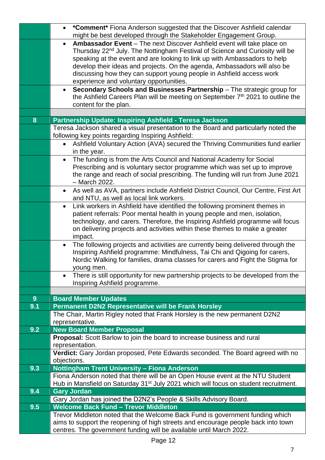|                | *Comment* Fiona Anderson suggested that the Discover Ashfield calendar<br>$\bullet$<br>might be best developed through the Stakeholder Engagement Group.                                                                                                                                                                                                                                                                                                     |
|----------------|--------------------------------------------------------------------------------------------------------------------------------------------------------------------------------------------------------------------------------------------------------------------------------------------------------------------------------------------------------------------------------------------------------------------------------------------------------------|
|                | Ambassador Event - The next Discover Ashfield event will take place on<br>$\bullet$<br>Thursday 22 <sup>nd</sup> July. The Nottingham Festival of Science and Curiosity will be<br>speaking at the event and are looking to link up with Ambassadors to help<br>develop their ideas and projects. On the agenda, Ambassadors will also be<br>discussing how they can support young people in Ashfield access work<br>experience and voluntary opportunities. |
|                | Secondary Schools and Businesses Partnership - The strategic group for<br>$\bullet$<br>the Ashfield Careers Plan will be meeting on September 7th 2021 to outline the<br>content for the plan.                                                                                                                                                                                                                                                               |
|                |                                                                                                                                                                                                                                                                                                                                                                                                                                                              |
| 8              | Partnership Update: Inspiring Ashfield - Teresa Jackson                                                                                                                                                                                                                                                                                                                                                                                                      |
|                | Teresa Jackson shared a visual presentation to the Board and particularly noted the<br>following key points regarding Inspiring Ashfield:                                                                                                                                                                                                                                                                                                                    |
|                | Ashfield Voluntary Action (AVA) secured the Thriving Communities fund earlier                                                                                                                                                                                                                                                                                                                                                                                |
|                | in the year.                                                                                                                                                                                                                                                                                                                                                                                                                                                 |
|                | The funding is from the Arts Council and National Academy for Social<br>$\bullet$                                                                                                                                                                                                                                                                                                                                                                            |
|                | Prescribing and is voluntary sector programme which was set up to improve                                                                                                                                                                                                                                                                                                                                                                                    |
|                | the range and reach of social prescribing. The funding will run from June 2021<br>- March 2022.                                                                                                                                                                                                                                                                                                                                                              |
|                | As well as AVA, partners include Ashfield District Council, Our Centre, First Art<br>$\bullet$                                                                                                                                                                                                                                                                                                                                                               |
|                | and NTU, as well as local link workers.                                                                                                                                                                                                                                                                                                                                                                                                                      |
|                | Link workers in Ashfield have identified the following prominent themes in<br>$\bullet$<br>patient referrals: Poor mental health in young people and men, isolation,<br>technology, and carers. Therefore, the Inspiring Ashfield programme will focus<br>on delivering projects and activities within these themes to make a greater<br>impact.                                                                                                             |
|                | The following projects and activities are currently being delivered through the<br>$\bullet$<br>Inspiring Ashfield programme: Mindfulness, Tai Chi and Qigoing for carers,<br>Nordic Walking for families, drama classes for carers and Fight the Stigma for<br>young men.                                                                                                                                                                                   |
|                | There is still opportunity for new partnership projects to be developed from the<br>Inspiring Ashfield programme.                                                                                                                                                                                                                                                                                                                                            |
|                |                                                                                                                                                                                                                                                                                                                                                                                                                                                              |
| 9 <sup>°</sup> | <b>Board Member Updates</b>                                                                                                                                                                                                                                                                                                                                                                                                                                  |
| 9.1            | Permanent D2N2 Representative will be Frank Horsley<br>The Chair, Martin Rigley noted that Frank Horsley is the new permanent D2N2                                                                                                                                                                                                                                                                                                                           |
|                | representative.                                                                                                                                                                                                                                                                                                                                                                                                                                              |
| 9.2            | <b>New Board Member Proposal</b>                                                                                                                                                                                                                                                                                                                                                                                                                             |
|                | <b>Proposal:</b> Scott Barlow to join the board to increase business and rural                                                                                                                                                                                                                                                                                                                                                                               |
|                | representation.                                                                                                                                                                                                                                                                                                                                                                                                                                              |
|                | Verdict: Gary Jordan proposed, Pete Edwards seconded. The Board agreed with no<br>objections.                                                                                                                                                                                                                                                                                                                                                                |
| 9.3            | Nottingham Trent University - Fiona Anderson                                                                                                                                                                                                                                                                                                                                                                                                                 |
|                | Fiona Anderson noted that there will be an Open House event at the NTU Student                                                                                                                                                                                                                                                                                                                                                                               |
|                | Hub in Mansfield on Saturday 31 <sup>st</sup> July 2021 which will focus on student recruitment.                                                                                                                                                                                                                                                                                                                                                             |
| 9.4            | <b>Gary Jordan</b>                                                                                                                                                                                                                                                                                                                                                                                                                                           |
|                | Gary Jordan has joined the D2N2's People & Skills Advisory Board.                                                                                                                                                                                                                                                                                                                                                                                            |
| 9.5            | <b>Welcome Back Fund - Trevor Middleton</b>                                                                                                                                                                                                                                                                                                                                                                                                                  |
|                | Trevor Middleton noted that the Welcome Back Fund is government funding which<br>aims to support the reopening of high streets and encourage people back into town<br>centres. The government funding will be available until March 2022.                                                                                                                                                                                                                    |